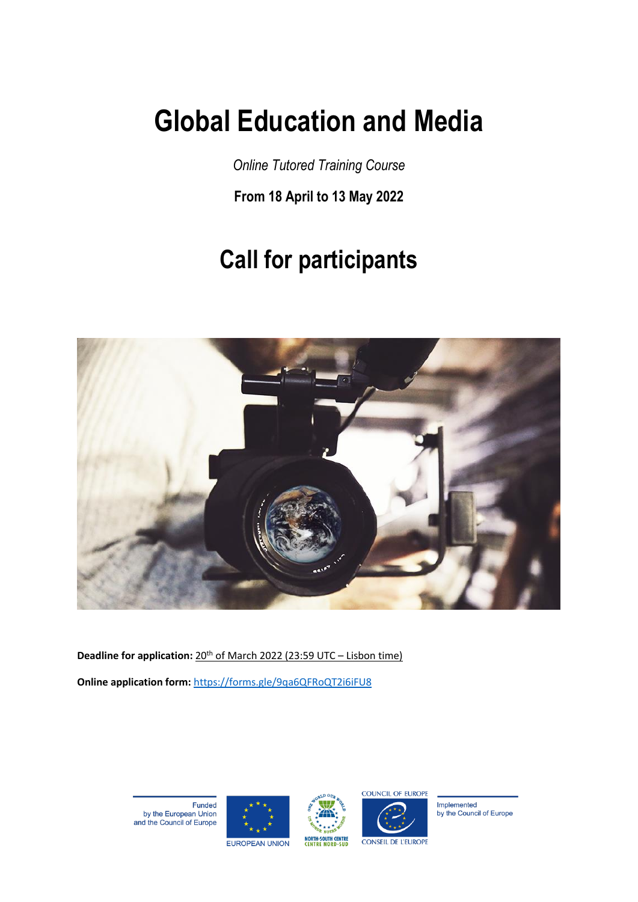# **Global Education and Media**

*Online Tutored Training Course*

**From 18 April to 13 May 2022**

## **Call for participants**



**Deadline for application:** 20<sup>th</sup> of March 2022 (23:59 UTC – Lisbon time) **Online application form:** <https://forms.gle/9qa6QFRoQT2i6iFU8>

> Funded by the European Union<br>and the Council of Europe







Implemented by the Council of Europe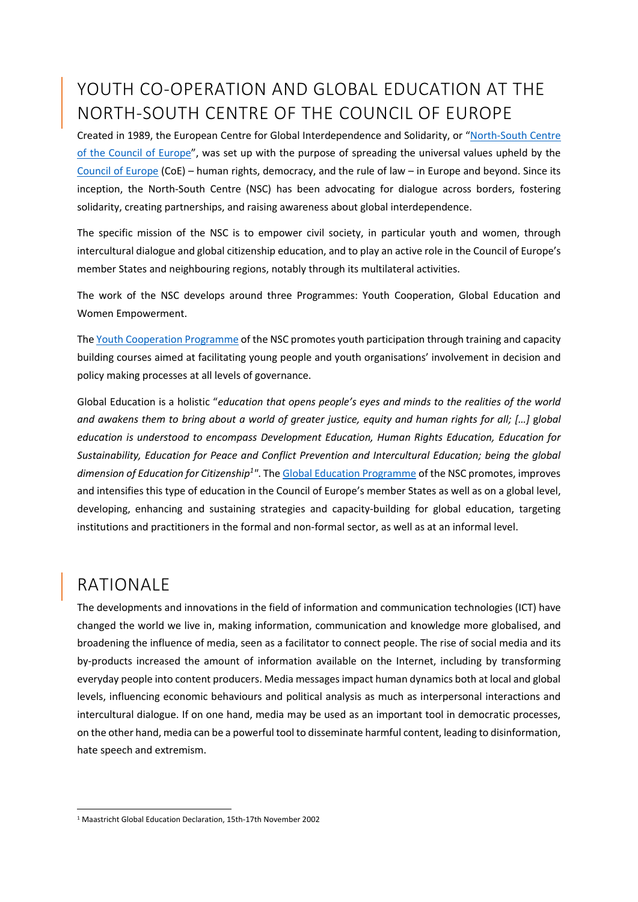### YOUTH CO-OPERATION AND GLOBAL EDUCATION AT THE NORTH-SOUTH CENTRE OF THE COUNCIL OF EUROPE

Created in 1989, the European Centre for Global Interdependence and Solidarity, or "[North-South Centre](https://www.coe.int/en/web/north-south-centre)  [of the Council of Europe](https://www.coe.int/en/web/north-south-centre)", was set up with the purpose of spreading the universal values upheld by the [Council of Europe](https://www.coe.int/en/web/portal/home) (CoE) – human rights, democracy, and the rule of law – in Europe and beyond. Since its inception, the North-South Centre (NSC) has been advocating for dialogue across borders, fostering solidarity, creating partnerships, and raising awareness about global interdependence.

The specific mission of the NSC is to empower civil society, in particular youth and women, through intercultural dialogue and global citizenship education, and to play an active role in the Council of Europe's member States and neighbouring regions, notably through its multilateral activities.

The work of the NSC develops around three Programmes: Youth Cooperation, Global Education and Women Empowerment.

The [Youth Cooperation Programme](https://www.coe.int/en/web/north-south-centre/youth-co-operation) of the NSC promotes youth participation through training and capacity building courses aimed at facilitating young people and youth organisations' involvement in decision and policy making processes at all levels of governance.

Global Education is a holistic "*education that opens people's eyes and minds to the realities of the world and awakens them to bring about a world of greater justice, equity and human rights for all; […]* g*lobal education is understood to encompass Development Education, Human Rights Education, Education for Sustainability, Education for Peace and Conflict Prevention and Intercultural Education; being the global*  dimension of Education for Citizenship<sup>1"</sup>. The [Global Education Programme](https://www.coe.int/en/web/north-south-centre/global-education) of the NSC promotes, improves and intensifies this type of education in the Council of Europe's member States as well as on a global level, developing, enhancing and sustaining strategies and capacity-building for global education, targeting institutions and practitioners in the formal and non-formal sector, as well as at an informal level.

#### RATIONALE

-

The developments and innovations in the field of information and communication technologies (ICT) have changed the world we live in, making information, communication and knowledge more globalised, and broadening the influence of media, seen as a facilitator to connect people. The rise of social media and its by-products increased the amount of information available on the Internet, including by transforming everyday people into content producers. Media messages impact human dynamics both at local and global levels, influencing economic behaviours and political analysis as much as interpersonal interactions and intercultural dialogue. If on one hand, media may be used as an important tool in democratic processes, on the other hand, media can be a powerful tool to disseminate harmful content, leading to disinformation, hate speech and extremism.

<sup>1</sup> Maastricht Global Education Declaration, 15th-17th November 2002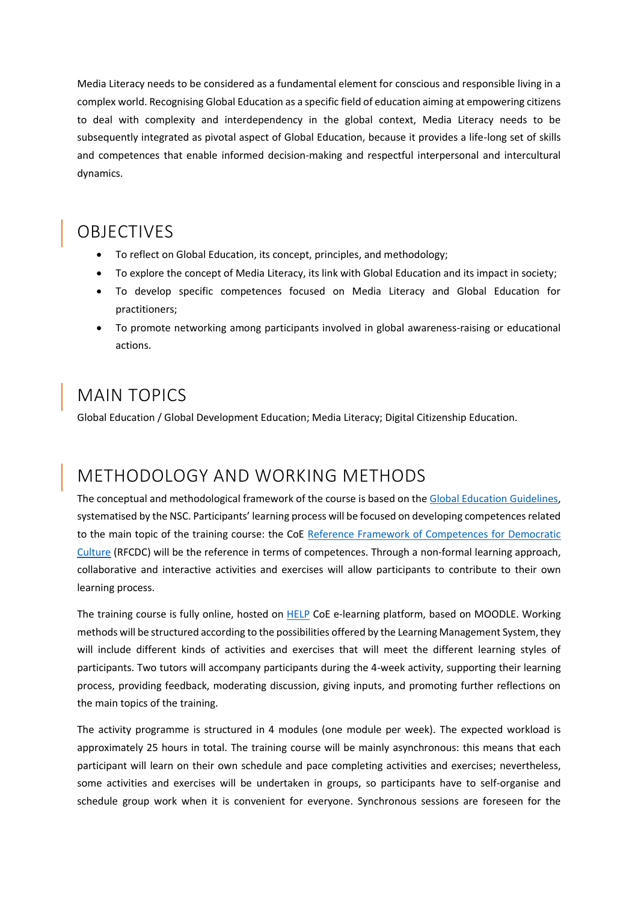Media Literacy needs to be considered as a fundamental element for conscious and responsible living in a complex world. Recognising Global Education as a specific field of education aiming at empowering citizens to deal with complexity and interdependency in the global context, Media Literacy needs to be subsequently integrated as pivotal aspect of Global Education, because it provides a life-long set of skills and competences that enable informed decision-making and respectful interpersonal and intercultural dynamics.

### OBJECTIVES

- To reflect on Global Education, its concept, principles, and methodology;
- To explore the concept of Media Literacy, its link with Global Education and its impact in society;
- To develop specific competences focused on Media Literacy and Global Education for practitioners;
- To promote networking among participants involved in global awareness-raising or educational actions.

#### MAIN TOPICS

Global Education / Global Development Education; Media Literacy; Digital Citizenship Education.

#### METHODOLOGY AND WORKING METHODS

The conceptual and methodological framework of the course is based on the [Global Education Guidelines,](https://rm.coe.int/prems-089719-global-education-guide-a4/1680973101) systematised by the NSC. Participants' learning process will be focused on developing competences related to the main topic of the training course: the CoE [Reference Framework of Competences for Democratic](https://www.coe.int/en/web/reference-framework-of-competences-for-democratic-culture/)  [Culture](https://www.coe.int/en/web/reference-framework-of-competences-for-democratic-culture/) (RFCDC) will be the reference in terms of competences. Through a non-formal learning approach, collaborative and interactive activities and exercises will allow participants to contribute to their own learning process.

The training course is fully online, hosted on [HELP](https://help.elearning.ext.coe.int/) CoE e-learning platform, based on MOODLE. Working methods will be structured according to the possibilities offered by the Learning Management System, they will include different kinds of activities and exercises that will meet the different learning styles of participants. Two tutors will accompany participants during the 4-week activity, supporting their learning process, providing feedback, moderating discussion, giving inputs, and promoting further reflections on the main topics of the training.

The activity programme is structured in 4 modules (one module per week). The expected workload is approximately 25 hours in total. The training course will be mainly asynchronous: this means that each participant will learn on their own schedule and pace completing activities and exercises; nevertheless, some activities and exercises will be undertaken in groups, so participants have to self-organise and schedule group work when it is convenient for everyone. Synchronous sessions are foreseen for the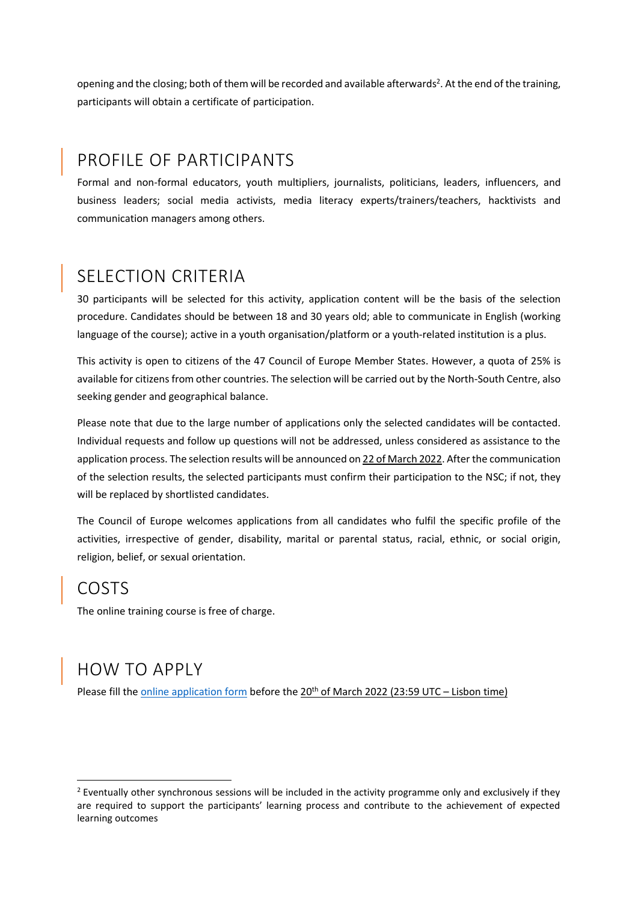opening and the closing; both of them will be recorded and available afterwards<sup>2</sup>. At the end of the training, participants will obtain a certificate of participation.

### PROFILE OF PARTICIPANTS

Formal and non-formal educators, youth multipliers, journalists, politicians, leaders, influencers, and business leaders; social media activists, media literacy experts/trainers/teachers, hacktivists and communication managers among others.

#### SELECTION CRITERIA

30 participants will be selected for this activity, application content will be the basis of the selection procedure. Candidates should be between 18 and 30 years old; able to communicate in English (working language of the course); active in a youth organisation/platform or a youth-related institution is a plus.

This activity is open to citizens of the 47 Council of Europe Member States. However, a quota of 25% is available for citizens from other countries. The selection will be carried out by the North-South Centre, also seeking gender and geographical balance.

Please note that due to the large number of applications only the selected candidates will be contacted. Individual requests and follow up questions will not be addressed, unless considered as assistance to the application process. The selection results will be announced on 22 of March 2022. After the communication of the selection results, the selected participants must confirm their participation to the NSC; if not, they will be replaced by shortlisted candidates.

The Council of Europe welcomes applications from all candidates who fulfil the specific profile of the activities, irrespective of gender, disability, marital or parental status, racial, ethnic, or social origin, religion, belief, or sexual orientation.

#### COSTS

-

The online training course is free of charge.

#### HOW TO APPLY

Please fill th[e online application form](https://forms.gle/9qa6QFRoQT2i6iFU8) before the 20<sup>th</sup> of March 2022 (23:59 UTC – Lisbon time)

<sup>&</sup>lt;sup>2</sup> Eventually other synchronous sessions will be included in the activity programme only and exclusively if they are required to support the participants' learning process and contribute to the achievement of expected learning outcomes